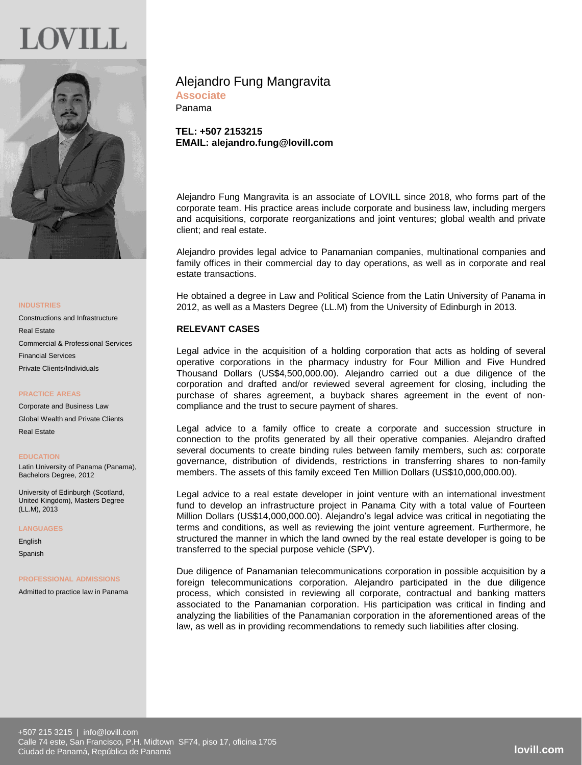

#### **INDUSTRIES**

Constructions and Infrastructure Real Estate Commercial & Professional Services Financial Services Private Clients/Individuals

## **PRACTICE AREAS**

Corporate and Business Law Global Wealth and Private Clients Real Estate

**EDUCATION** Latin University of Panama (Panama),

Bachelors Degree, 2012

University of Edinburgh (Scotland, United Kingdom), Masters Degree (LL.M), 2013

**LANGUAGES**

English Spanish

#### **PROFESSIONAL ADMISSIONS**

Admitted to practice law in Panama

# Alejandro Fung Mangravita

**Associate** Panama

**TEL: +507 2153215 EMAIL: alejandro.fung@lovill.com**

Alejandro Fung Mangravita is an associate of LOVILL since 2018, who forms part of the corporate team. His practice areas include corporate and business law, including mergers and acquisitions, corporate reorganizations and joint ventures; global wealth and private client; and real estate.

Alejandro provides legal advice to Panamanian companies, multinational companies and family offices in their commercial day to day operations, as well as in corporate and real estate transactions.

He obtained a degree in Law and Political Science from the Latin University of Panama in 2012, as well as a Masters Degree (LL.M) from the University of Edinburgh in 2013.

# **RELEVANT CASES**

Legal advice in the acquisition of a holding corporation that acts as holding of several operative corporations in the pharmacy industry for Four Million and Five Hundred Thousand Dollars (US\$4,500,000.00). Alejandro carried out a due diligence of the corporation and drafted and/or reviewed several agreement for closing, including the purchase of shares agreement, a buyback shares agreement in the event of noncompliance and the trust to secure payment of shares.

Legal advice to a family office to create a corporate and succession structure in connection to the profits generated by all their operative companies. Alejandro drafted several documents to create binding rules between family members, such as: corporate governance, distribution of dividends, restrictions in transferring shares to non-family members. The assets of this family exceed Ten Million Dollars (US\$10,000,000.00).

Legal advice to a real estate developer in joint venture with an international investment fund to develop an infrastructure project in Panama City with a total value of Fourteen Million Dollars (US\$14,000,000.00). Alejandro's legal advice was critical in negotiating the terms and conditions, as well as reviewing the joint venture agreement. Furthermore, he structured the manner in which the land owned by the real estate developer is going to be transferred to the special purpose vehicle (SPV).

Due diligence of Panamanian telecommunications corporation in possible acquisition by a foreign telecommunications corporation. Alejandro participated in the due diligence process, which consisted in reviewing all corporate, contractual and banking matters associated to the Panamanian corporation. His participation was critical in finding and analyzing the liabilities of the Panamanian corporation in the aforementioned areas of the law, as well as in providing recommendations to remedy such liabilities after closing.